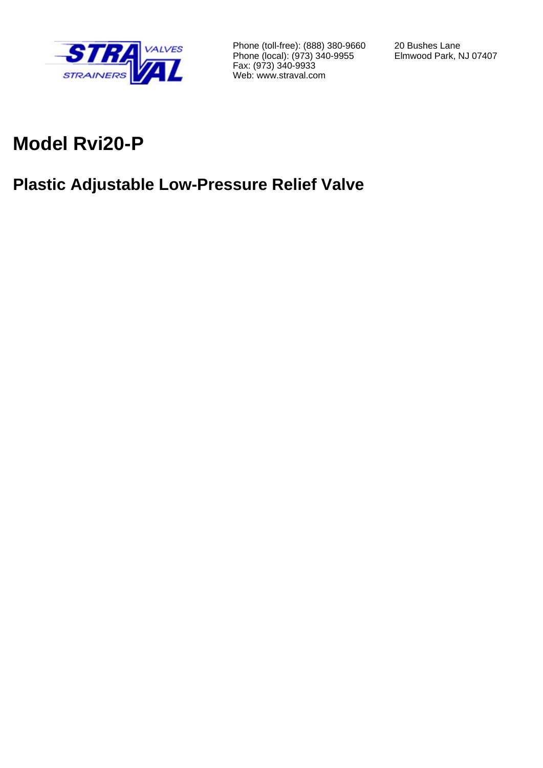

Phone (toll-free): (888) 380-9660 Phone (local): (973) 340-9955 Fax: (973) 340-9933 Web: www.straval.com

20 Bushes Lane Elmwood Park, NJ 07407

# **Model Rvi20-P**

# **Plastic Adjustable Low-Pressure Relief Valve**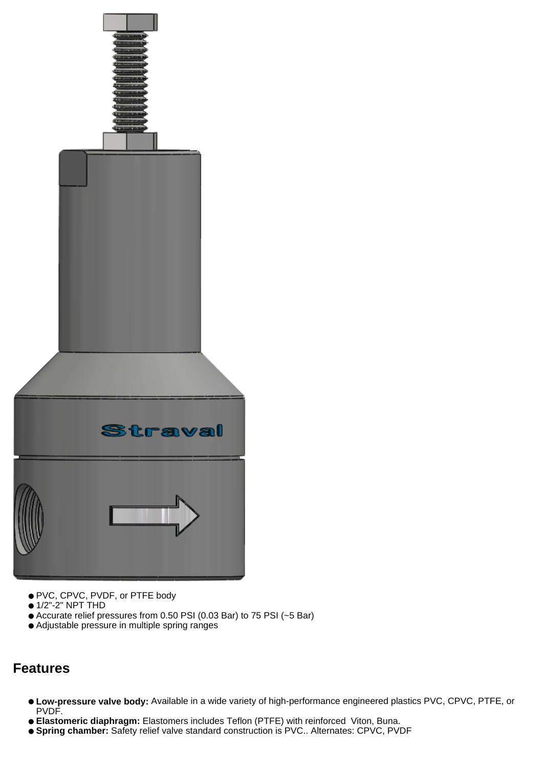

- PVC, CPVC, PVDF, or PTFE body
- 1/2"-2" NPT THD
- Accurate relief pressures from 0.50 PSI (0.03 Bar) to 75 PSI (~5 Bar)
- Adjustable pressure in multiple spring ranges

### **Features**

- **Low-pressure valve body:** Available in a wide variety of high-performance engineered plastics PVC, CPVC, PTFE, or PVDF.
- **Elastomeric diaphragm:** Elastomers includes Teflon (PTFE) with reinforced Viton, Buna.
- **Spring chamber:** Safety relief valve standard construction is PVC.. Alternates: CPVC, PVDF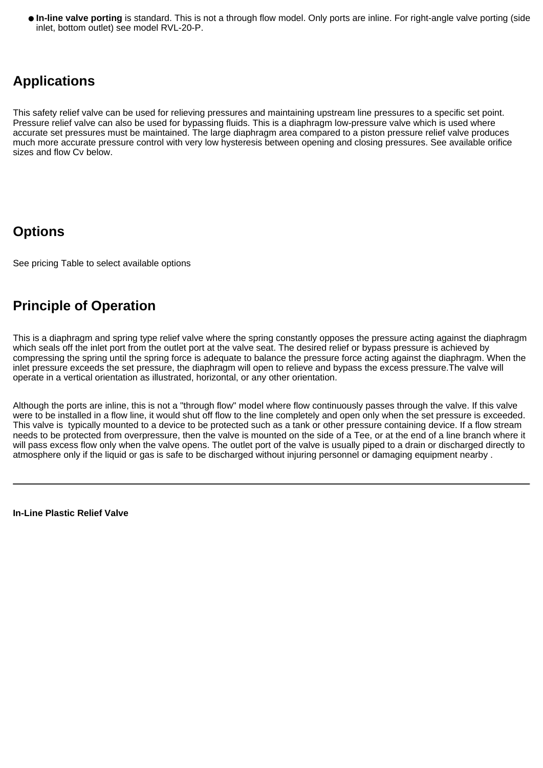● **In-line valve porting** is standard. This is not a through flow model. Only ports are inline. For right-angle valve porting (side inlet, bottom outlet) see model RVL-20-P.

### **Applications**

This safety relief valve can be used for relieving pressures and maintaining upstream line pressures to a specific set point. Pressure relief valve can also be used for bypassing fluids. This is a diaphragm low-pressure valve which is used where accurate set pressures must be maintained. The large diaphragm area compared to a piston pressure relief valve produces much more accurate pressure control with very low hysteresis between opening and closing pressures. See available orifice sizes and flow Cv below.

### **Options**

See pricing Table to select available options

### **Principle of Operation**

This is a diaphragm and spring type relief valve where the spring constantly opposes the pressure acting against the diaphragm which seals off the inlet port from the outlet port at the valve seat. The desired relief or bypass pressure is achieved by compressing the spring until the spring force is adequate to balance the pressure force acting against the diaphragm. When the inlet pressure exceeds the set pressure, the diaphragm will open to relieve and bypass the excess pressure.The valve will operate in a vertical orientation as illustrated, horizontal, or any other orientation.

Although the ports are inline, this is not a "through flow" model where flow continuously passes through the valve. If this valve were to be installed in a flow line, it would shut off flow to the line completely and open only when the set pressure is exceeded. This valve is typically mounted to a device to be protected such as a tank or other pressure containing device. If a flow stream needs to be protected from overpressure, then the valve is mounted on the side of a Tee, or at the end of a line branch where it will pass excess flow only when the valve opens. The outlet port of the valve is usually piped to a drain or discharged directly to atmosphere only if the liquid or gas is safe to be discharged without injuring personnel or damaging equipment nearby .

**In-Line Plastic Relief Valve**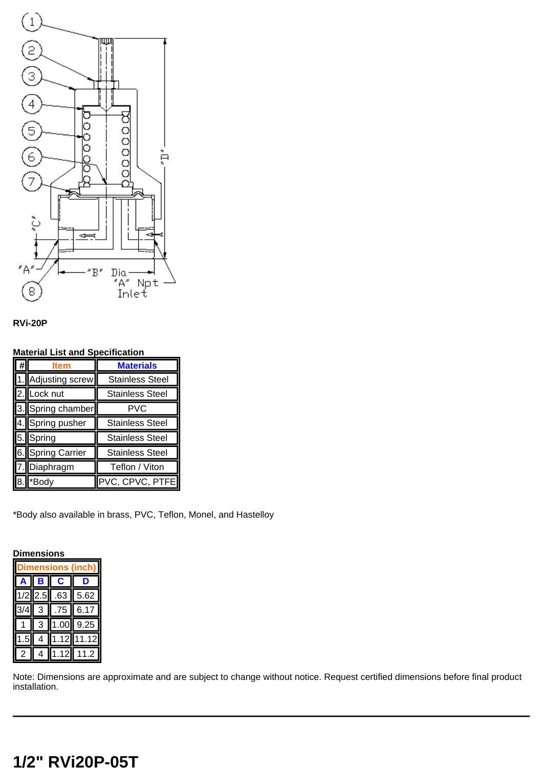



#### **Material List and Specification**

|                    | <b>Materials</b>       |  |
|--------------------|------------------------|--|
| 1. Adjusting screw | <b>Stainless Steel</b> |  |
| 2. Lock nut        | <b>Stainless Steel</b> |  |
| 3. Spring chamber  | PVC                    |  |
| 4. Spring pusher   | <b>Stainless Steel</b> |  |
| 5. Spring          | <b>Stainless Steel</b> |  |
| 6. Spring Carrier  | <b>Stainless Steel</b> |  |
| 7. Diaphragm       | Teflon / Viton         |  |
| *Body              | PVC, CPVC, PTFE        |  |

\*Body also available in brass, PVC, Teflon, Monel, and Hastelloy

| Dimensions        |     |      |      |  |
|-------------------|-----|------|------|--|
| ons<br>ch i<br>ßl |     |      |      |  |
|                   |     | ÷    |      |  |
| 1/2               | 2.5 | .63  | 5.62 |  |
|                   | 3   | 75   | 6.17 |  |
|                   | 3   | 1.00 | 9.25 |  |
| .5                |     | .12  | .12  |  |
|                   |     | 12   | .2   |  |

Note: Dimensions are approximate and are subject to change without notice. Request certified dimensions before final product installation.

#### **1/2" RVi20P-05T**